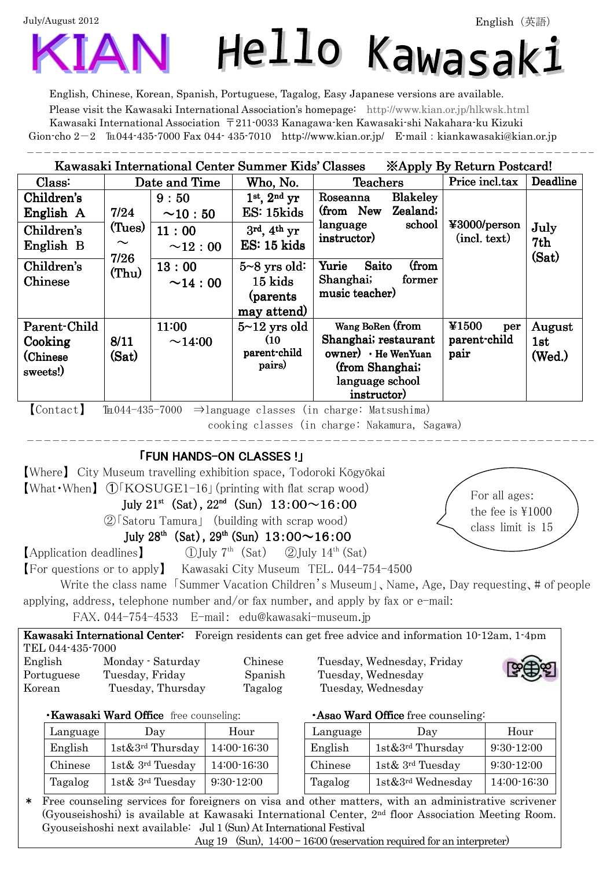July/August 2012

 $\ddot{\phantom{a}}$ 

# Hello Kawasak:

English, Chinese, Korean, Spanish, Portuguese, Tagalog, Easy Japanese versions are available. Please visit the Kawasaki International Association's homepage: http://www.kian.or.jp/hlkwsk.html Kawasaki International Association 〒211-0033 Kanagawa-ken Kawasaki-shi Nakahara-ku Kizuki Gion-cho  $2-2$   $\pi$ 044-435-7000 Fax 044-435-7010 http://www.kian.or.jp/ E-mail: kiankawasaki@kian.or.jp -------------------------------------

## Kawasaki International Center Summer Kids' Classes <br> ※Apply By Return Postcard!

| Class:                                           | Date and Time                     |                         | Who, No.                                                | <b>Teachers</b>                                                                                                            | Price incl.tax                       | Deadline                |
|--------------------------------------------------|-----------------------------------|-------------------------|---------------------------------------------------------|----------------------------------------------------------------------------------------------------------------------------|--------------------------------------|-------------------------|
| Children's<br>English A                          | 7/24                              | 9:50<br>$\sim 10:50$    | $1st$ , $2nd$ yr<br>ES: 15kids                          | <b>Blakeley</b><br>Roseanna<br>(from New<br>Zealand;                                                                       |                                      |                         |
| Children's<br>English B                          | (Tues)<br>$\sim$<br>7/26<br>(Thu) | 11:00<br>$\sim 12:00$   | $3rd, 4th$ yr<br>$ES: 15$ kids                          | school<br>language<br>instructor)                                                                                          | ¥3000/person<br>(int. text)          | July<br>7th<br>(Sat)    |
| Children's<br>Chinese                            |                                   | 13:00<br>$\sim$ 14 : 00 | $5 - 8$ yrs old:<br>15 kids<br>(parents)<br>may attend) | (from<br>Yurie<br>Saito<br>Shanghai;<br>former<br>music teacher)                                                           |                                      |                         |
| Parent-Child<br>Cooking<br>(Chinese)<br>sweets!) | 8/11<br>(Sat)                     | 11:00<br>~14:00         | $5 - 12$ yrs old<br>(10)<br>parent-child<br>pairs)      | Wang BoRen (from<br>Shanghai; restaurant<br>$owner) \cdot He$ WenYuan<br>(from Shanghai;<br>language school<br>instructor) | ¥1500<br>per<br>parent-child<br>pair | August<br>1st<br>(Wed.) |

 $[Context]$  TEM-44-435-7000  $\Rightarrow$  language classes (in charge: Matsushima)

cooking classes (in charge: Nakamura, Sagawa)

# $\overline{a}$ **FUN HANDS-ON CLASSES !」**

【Where】 City Museum travelling exhibition space, Todoroki Kōgyōkai 【What・When】 ➀「KOSUGE1-16」(printing with flat scrap wood)

July 21<sup>st</sup> (Sat), 22<sup>nd</sup> (Sun) 13:00 $\sim$ 16:00

②「Satoru Tamura」 (building with scrap wood)

July  $28^{th}$  (Sat),  $29^{th}$  (Sun)  $13:00 \sim 16:00$ 

**[Application deadlines]** ①July 7<sup>th</sup> (Sat) ②July 14<sup>th</sup> (Sat)

【For questions or to apply】 Kawasaki City Museum TEL. 044-754-4500

Write the class name 「Summer Vacation Children's Museum」、Name, Age, Day requesting、# of people applying, address, telephone number and/or fax number, and apply by fax or e-mail:

FAX. 044-754-4533 E-mail: edu@kawasaki-museum.jp

Kawasaki International Center: Foreign residents can get free advice and information 10-12am, 1-4pm TEL 044-435-7000 English Monday - Saturday Chinese Tuesday, Wednesday, Friday Portuguese Tuesday, Friday Spanish Tuesday, Wednesday Korean Tuesday, Thursday Tagalog Tuesday, Wednesday



For all ages: the fee is  $\text{\#}1000$ class limit is 15

| Kawasaki Ward Office free counseling: |  |
|---------------------------------------|--|
|---------------------------------------|--|

| Language | Dav                              | Hour         | Language | Day                              | Hour        |
|----------|----------------------------------|--------------|----------|----------------------------------|-------------|
| English  | $1st\&3^{rd}$ Thursday           | 14:00-16:30  | English  | $1st\&3^{rd}$ Thursday           | $9:30-12:0$ |
| Chinese  | 1st $\&$ 3 <sup>rd</sup> Tuesday | 14:00-16:30  | Chinese  | 1st $\&$ 3 <sup>rd</sup> Tuesday | $9:30-12:0$ |
| Tagalog  | 1st $\&$ 3 <sup>rd</sup> Tuesday | $9:30-12:00$ | Tagalog  | $1st\&3^{rd}$ Wednesday          | 14:00-16    |

·Asao Ward Office free counseling:

| Language | Day                    | Hour         | Language | Day                           | Hour         |
|----------|------------------------|--------------|----------|-------------------------------|--------------|
| English  | $1st\&3^{rd}$ Thursday | 14:00-16:30  | English  | 1st&3 <sup>rd</sup> Thursday  | $9:30-12:00$ |
| Chinese  | $1st\& 3^{rd}$ Tuesday | 14:00-16:30  | Chinese  | 1st& 3 <sup>rd</sup> Tuesday  | $9:30-12:00$ |
| Tagalog  | $1st\& 3^{rd}$ Tuesday | $9:30-12:00$ | Tagalog  | 1st&3 <sup>rd</sup> Wednesday | 14:00-16:30  |

\* Free counseling services for foreigners on visa and other matters, with an administrative scrivener (Gyouseishoshi) is available at Kawasaki International Center, 2nd floor Association Meeting Room. Gyouseishoshi next available: Jul 1 (Sun) At International Festival

Aug 19 (Sun), 14:00 – 16:00 (reservation required for an interpreter)